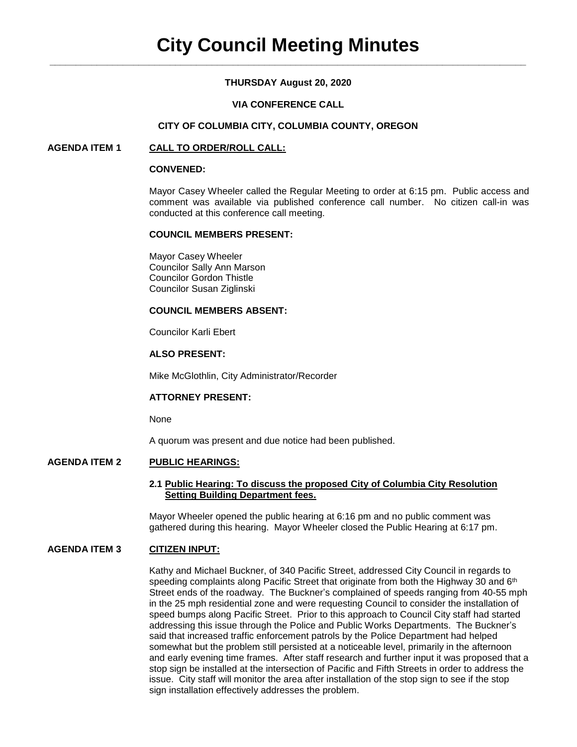# **THURSDAY August 20, 2020**

## **VIA CONFERENCE CALL**

#### **CITY OF COLUMBIA CITY, COLUMBIA COUNTY, OREGON**

## **AGENDA ITEM 1 CALL TO ORDER/ROLL CALL:**

#### **CONVENED:**

Mayor Casey Wheeler called the Regular Meeting to order at 6:15 pm. Public access and comment was available via published conference call number. No citizen call-in was conducted at this conference call meeting.

#### **COUNCIL MEMBERS PRESENT:**

Mayor Casey Wheeler Councilor Sally Ann Marson Councilor Gordon Thistle Councilor Susan Ziglinski

#### **COUNCIL MEMBERS ABSENT:**

Councilor Karli Ebert

### **ALSO PRESENT:**

Mike McGlothlin, City Administrator/Recorder

### **ATTORNEY PRESENT:**

None

A quorum was present and due notice had been published.

## **AGENDA ITEM 2 PUBLIC HEARINGS:**

#### **2.1 Public Hearing: To discuss the proposed City of Columbia City Resolution Setting Building Department fees.**

Mayor Wheeler opened the public hearing at 6:16 pm and no public comment was gathered during this hearing. Mayor Wheeler closed the Public Hearing at 6:17 pm.

### **AGENDA ITEM 3 CITIZEN INPUT:**

Kathy and Michael Buckner, of 340 Pacific Street, addressed City Council in regards to speeding complaints along Pacific Street that originate from both the Highway 30 and 6<sup>th</sup> Street ends of the roadway. The Buckner's complained of speeds ranging from 40-55 mph in the 25 mph residential zone and were requesting Council to consider the installation of speed bumps along Pacific Street. Prior to this approach to Council City staff had started addressing this issue through the Police and Public Works Departments. The Buckner's said that increased traffic enforcement patrols by the Police Department had helped somewhat but the problem still persisted at a noticeable level, primarily in the afternoon and early evening time frames. After staff research and further input it was proposed that a stop sign be installed at the intersection of Pacific and Fifth Streets in order to address the issue. City staff will monitor the area after installation of the stop sign to see if the stop sign installation effectively addresses the problem.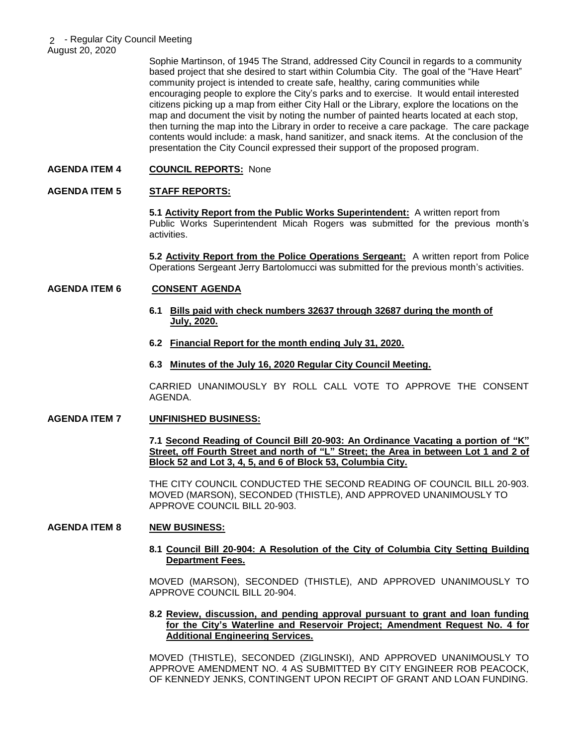Sophie Martinson, of 1945 The Strand, addressed City Council in regards to a community based project that she desired to start within Columbia City. The goal of the "Have Heart" community project is intended to create safe, healthy, caring communities while encouraging people to explore the City's parks and to exercise. It would entail interested citizens picking up a map from either City Hall or the Library, explore the locations on the map and document the visit by noting the number of painted hearts located at each stop, then turning the map into the Library in order to receive a care package. The care package contents would include: a mask, hand sanitizer, and snack items. At the conclusion of the presentation the City Council expressed their support of the proposed program.

## **AGENDA ITEM 4 COUNCIL REPORTS:** None

## **AGENDA ITEM 5 STAFF REPORTS:**

**5.1 Activity Report from the Public Works Superintendent:** A written report from Public Works Superintendent Micah Rogers was submitted for the previous month's activities.

**5.2 Activity Report from the Police Operations Sergeant:** A written report from Police Operations Sergeant Jerry Bartolomucci was submitted for the previous month's activities.

### **AGENDA ITEM 6 CONSENT AGENDA**

- **6.1 Bills paid with check numbers 32637 through 32687 during the month of July, 2020.**
- **6.2 Financial Report for the month ending July 31, 2020.**
- **6.3 Minutes of the July 16, 2020 Regular City Council Meeting.**

CARRIED UNANIMOUSLY BY ROLL CALL VOTE TO APPROVE THE CONSENT AGENDA.

### **AGENDA ITEM 7 UNFINISHED BUSINESS:**

**7.1 Second Reading of Council Bill 20-903: An Ordinance Vacating a portion of "K" Street, off Fourth Street and north of "L" Street; the Area in between Lot 1 and 2 of Block 52 and Lot 3, 4, 5, and 6 of Block 53, Columbia City.**

THE CITY COUNCIL CONDUCTED THE SECOND READING OF COUNCIL BILL 20-903. MOVED (MARSON), SECONDED (THISTLE), AND APPROVED UNANIMOUSLY TO APPROVE COUNCIL BILL 20-903.

### **AGENDA ITEM 8 NEW BUSINESS:**

## **8.1 Council Bill 20-904: A Resolution of the City of Columbia City Setting Building Department Fees.**

MOVED (MARSON), SECONDED (THISTLE), AND APPROVED UNANIMOUSLY TO APPROVE COUNCIL BILL 20-904.

### **8.2 Review, discussion, and pending approval pursuant to grant and loan funding for the City's Waterline and Reservoir Project; Amendment Request No. 4 for Additional Engineering Services.**

MOVED (THISTLE), SECONDED (ZIGLINSKI), AND APPROVED UNANIMOUSLY TO APPROVE AMENDMENT NO. 4 AS SUBMITTED BY CITY ENGINEER ROB PEACOCK, OF KENNEDY JENKS, CONTINGENT UPON RECIPT OF GRANT AND LOAN FUNDING.